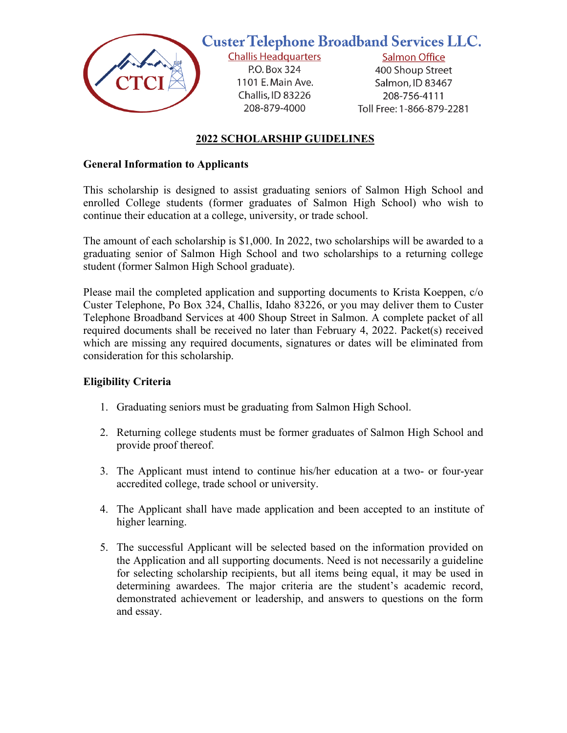

## **Custer Telephone Broadband Services LLC.**

**Challis Headquarters** P.O. Box 324 1101 E. Main Ave. Challis, ID 83226 208-879-4000

**Salmon Office** 400 Shoup Street Salmon, ID 83467

208-756-4111 Toll Free: 1-866-879-2281

#### **2022 SCHOLARSHIP GUIDELINES**

#### **General Information to Applicants**

This scholarship is designed to assist graduating seniors of Salmon High School and enrolled College students (former graduates of Salmon High School) who wish to continue their education at a college, university, or trade school.

The amount of each scholarship is \$1,000. In 2022, two scholarships will be awarded to a graduating senior of Salmon High School and two scholarships to a returning college student (former Salmon High School graduate).

Please mail the completed application and supporting documents to Krista Koeppen, c/o Custer Telephone, Po Box 324, Challis, Idaho 83226, or you may deliver them to Custer Telephone Broadband Services at 400 Shoup Street in Salmon. A complete packet of all required documents shall be received no later than February 4, 2022. Packet(s) received which are missing any required documents, signatures or dates will be eliminated from consideration for this scholarship.

#### **Eligibility Criteria**

- 1. Graduating seniors must be graduating from Salmon High School.
- 2. Returning college students must be former graduates of Salmon High School and provide proof thereof.
- 3. The Applicant must intend to continue his/her education at a two- or four-year accredited college, trade school or university.
- 4. The Applicant shall have made application and been accepted to an institute of higher learning.
- 5. The successful Applicant will be selected based on the information provided on the Application and all supporting documents. Need is not necessarily a guideline for selecting scholarship recipients, but all items being equal, it may be used in determining awardees. The major criteria are the student's academic record, demonstrated achievement or leadership, and answers to questions on the form and essay.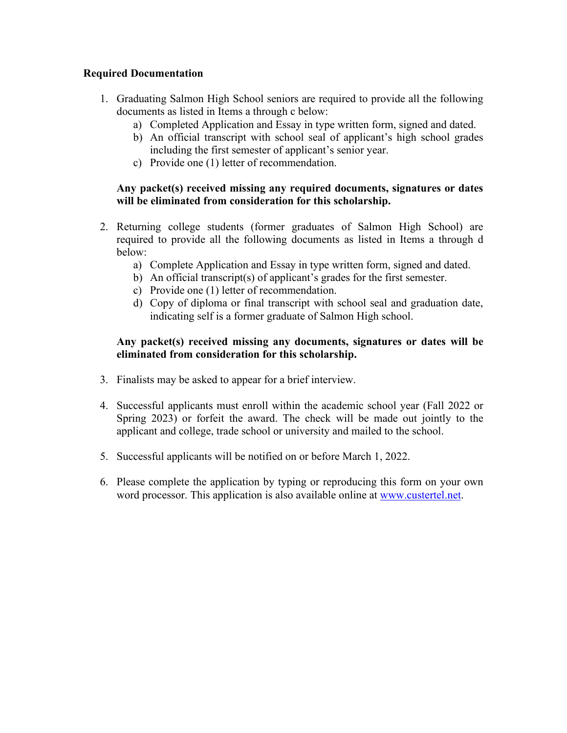#### **Required Documentation**

- 1. Graduating Salmon High School seniors are required to provide all the following documents as listed in Items a through c below:
	- a) Completed Application and Essay in type written form, signed and dated.
	- b) An official transcript with school seal of applicant's high school grades including the first semester of applicant's senior year.
	- c) Provide one (1) letter of recommendation.

#### **Any packet(s) received missing any required documents, signatures or dates will be eliminated from consideration for this scholarship.**

- 2. Returning college students (former graduates of Salmon High School) are required to provide all the following documents as listed in Items a through d below:
	- a) Complete Application and Essay in type written form, signed and dated.
	- b) An official transcript(s) of applicant's grades for the first semester.
	- c) Provide one (1) letter of recommendation.
	- d) Copy of diploma or final transcript with school seal and graduation date, indicating self is a former graduate of Salmon High school.

#### **Any packet(s) received missing any documents, signatures or dates will be eliminated from consideration for this scholarship.**

- 3. Finalists may be asked to appear for a brief interview.
- 4. Successful applicants must enroll within the academic school year (Fall 2022 or Spring 2023) or forfeit the award. The check will be made out jointly to the applicant and college, trade school or university and mailed to the school.
- 5. Successful applicants will be notified on or before March 1, 2022.
- 6. Please complete the application by typing or reproducing this form on your own word processor. This application is also available online at [www.custertel.net.](http://www.custertel.net/)